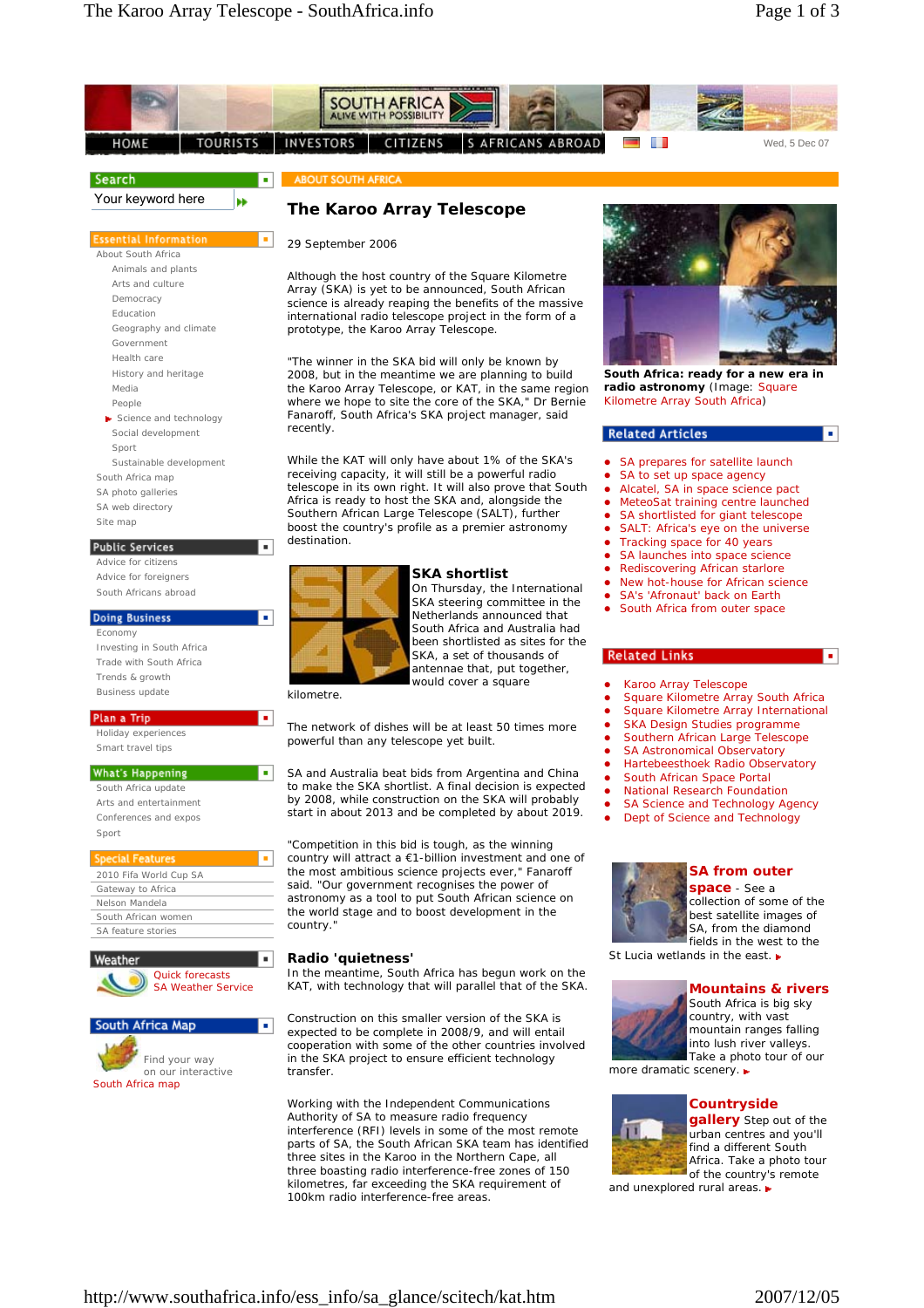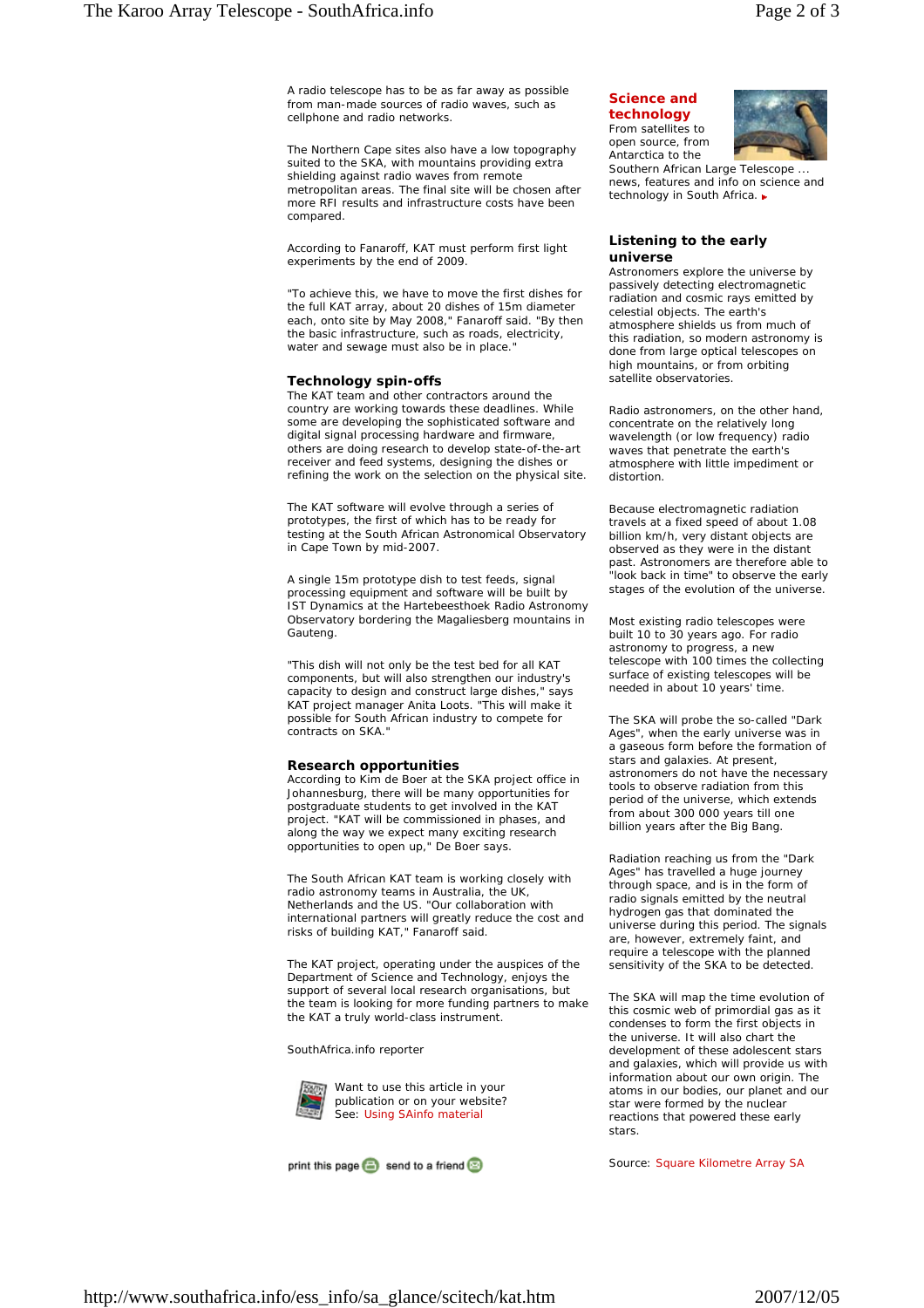A radio telescope has to be as far away as possible from man-made sources of radio waves, such as cellphone and radio networks.

The Northern Cape sites also have a low topography suited to the SKA, with mountains providing extra shielding against radio waves from remote metropolitan areas. The final site will be chosen after more RFI results and infrastructure costs have been compared.

According to Fanaroff, KAT must perform first light experiments by the end of 2009.

"To achieve this, we have to move the first dishes for the full KAT array, about 20 dishes of 15m diameter each, onto site by May 2008," Fanaroff said. "By then the basic infrastructure, such as roads, electricity, water and sewage must also be in place."

## **Technology spin-offs**

The KAT team and other contractors around the country are working towards these deadlines. While some are developing the sophisticated software and digital signal processing hardware and firmware, others are doing research to develop state-of-the-art receiver and feed systems, designing the dishes or refining the work on the selection on the physical site.

The KAT software will evolve through a series of prototypes, the first of which has to be ready for testing at the South African Astronomical Observatory in Cape Town by mid-2007.

A single 15m prototype dish to test feeds, signal processing equipment and software will be built by IST Dynamics at the Hartebeesthoek Radio Astronomy Observatory bordering the Magaliesberg mountains in Gauteng.

"This dish will not only be the test bed for all KAT components, but will also strengthen our industry's capacity to design and construct large dishes," says KAT project manager Anita Loots. "This will make it possible for South African industry to compete for contracts on SKA."

## **Research opportunities**

According to Kim de Boer at the SKA project office in Johannesburg, there will be many opportunities for postgraduate students to get involved in the KAT project. "KAT will be commissioned in phases, and along the way we expect many exciting research opportunities to open up," De Boer says.

The South African KAT team is working closely with radio astronomy teams in Australia, the UK, Netherlands and the US. "Our collaboration with international partners will greatly reduce the cost and risks of building KAT," Fanaroff said.

The KAT project, operating under the auspices of the Department of Science and Technology, enjoys the support of several local research organisations, but the team is looking for more funding partners to make the KAT a truly world-class instrument.

*SouthAfrica.info reporter*



Want to use this article in your publication or on your website? See: Using SAinfo material

print this page **a** send to a friend

**Science and technology** From satellites to open source, from



Antarctica to the Southern African Large Telescope news, features and info on science and technology in South Africa. ►

## **Listening to the early universe**

Astronomers explore the universe by passively detecting electromagnetic radiation and cosmic rays emitted by celestial objects. The earth's atmosphere shields us from much of this radiation, so modern astronomy is done from large optical telescopes on high mountains, or from orbiting satellite observatories.

Radio astronomers, on the other hand, concentrate on the relatively long wavelength (or low frequency) radio waves that penetrate the earth's atmosphere with little impediment or distortion.

Because electromagnetic radiation travels at a fixed speed of about 1.08 billion km/h, very distant objects are observed as they were in the distant past. Astronomers are therefore able to .<br>"look back in time" to observe the early stages of the evolution of the universe.

Most existing radio telescopes were built 10 to 30 years ago. For radio astronomy to progress, a new telescope with 100 times the collecting surface of existing telescopes will be needed in about 10 years' time.

The SKA will probe the so-called "Dark Ages", when the early universe was in a gaseous form before the formation of stars and galaxies. At present. astronomers do not have the necessary tools to observe radiation from this period of the universe, which extends from about 300 000 years till one billion years after the Big Bang.

Radiation reaching us from the "Dark Ages" has travelled a huge journey through space, and is in the form of radio signals emitted by the neutral hydrogen gas that dominated the universe during this period. The signals are, however, extremely faint, and require a telescope with the planned sensitivity of the SKA to be detected.

The SKA will map the time evolution of this cosmic web of primordial gas as it condenses to form the first objects in the universe. It will also chart the development of these adolescent stars and galaxies, which will provide us with information about our own origin. The atoms in our bodies, our planet and our star were formed by the nuclear reactions that powered these early stars.

*Source: Square Kilometre Array SA*